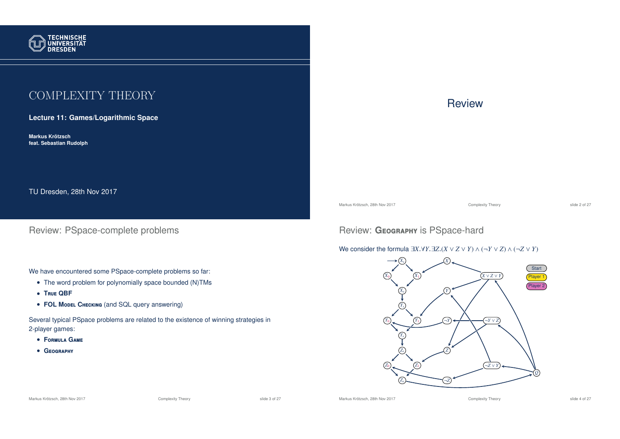

# COMPLEXITY THEORY

**Lecture 11: Games/Logarithmic Space**

**Markus Krotzsch ¨ feat. Sebastian Rudolph**

TU Dresden, 28th Nov 2017

Review: PSpace-complete problems

We have encountered some PSpace-complete problems so far:

- The word problem for polynomially space bounded (N)TMs
- **T**rue **QBF**
- **FOL Model CHECKING** (and SQL query answering)

Several typical PSpace problems are related to the existence of winning strategies in 2-player games:

- **F**ormula **G**ame
- **G**eography

# **Review**

Markus Krötzsch, 28th Nov 2017 **Complexity Theory** Complexity Theory slide 2 of 27

# Review: GEOGRAPHY is PSpace-hard

### We consider the formula  $\exists X.\forall Y.\exists Z.(X \lor Z \lor Y) \land (\neg Y \lor Z) \land (\neg Z \lor Y)$



Markus Krötzsch, 28th Nov 2017 **Complexity Theory** Complexity Theory slide 3 of 27

Markus Krötzsch, 28th Nov 2017 **Complexity Theory** Complexity Theory slide 4 of 27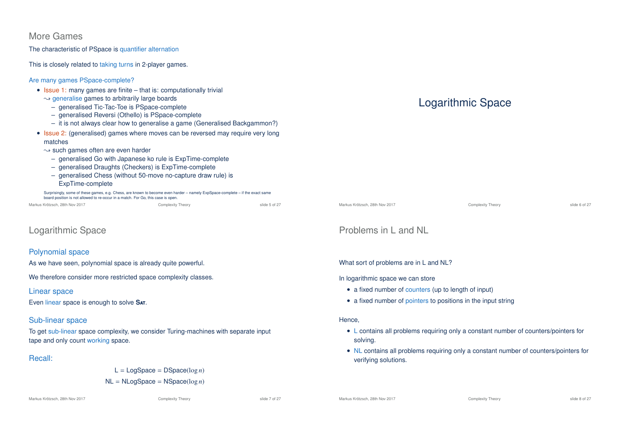## More Games

The characteristic of PSpace is quantifier alternation

This is closely related to taking turns in 2-player games.

### Are many games PSpace-complete?

- Issue 1: many games are finite that is: computationally trivial
	- $\rightarrow$  generalise games to arbitrarily large boards
	- generalised Tic-Tac-Toe is PSpace-complete
	- generalised Reversi (Othello) is PSpace-complete
	- it is not always clear how to generalise a game (Generalised Backgammon?)
- Issue 2: (generalised) games where moves can be reversed may require very long matches
	- $\rightarrow$  such games often are even harder
		- generalised Go with Japanese ko rule is ExpTime-complete
		- generalised Draughts (Checkers) is ExpTime-complete
		- generalised Chess (without 50-move no-capture draw rule) is ExpTime-complete

Surprisingly, some of these games, e.g. Chess, are known to become even harder – namely ExpSpace-complete – if the exact same board position is not allowed to re-occur in a match. For Go, this case is open.

| Markus Krötzsch. 28th Nov 2017 | Complexity Theory | slide 5 of 27 |
|--------------------------------|-------------------|---------------|
|                                |                   |               |

# Logarithmic Space

### Polynomial space

As we have seen, polynomial space is already quite powerful.

We therefore consider more restricted space complexity classes.

### Linear space

Even linear space is enough to solve **S**at.

### Sub-linear space

To get sub-linear space complexity, we consider Turing-machines with separate input tape and only count working space.

### Recall:

 $L =$ LogSpace = DSpace( $log n$ ) NL = NLogSpace = NSpace(log *n*)

# Logarithmic Space

| Markus Krötzsch, 28th Nov 2017 |  |  |
|--------------------------------|--|--|
|                                |  |  |

Complexity Theory **Complexity Theory** 31ide 6 of 27

## Problems in L and NL

What sort of problems are in L and NL?

#### In logarithmic space we can store

- a fixed number of counters (up to length of input)
- a fixed number of pointers to positions in the input string

### Hence,

- L contains all problems requiring only a constant number of counters/pointers for solving.
- NL contains all problems requiring only a constant number of counters/pointers for verifying solutions.

Markus Krötzsch, 28th Nov 2017 **Complexity Theory** Complexity Theory slide 7 of 27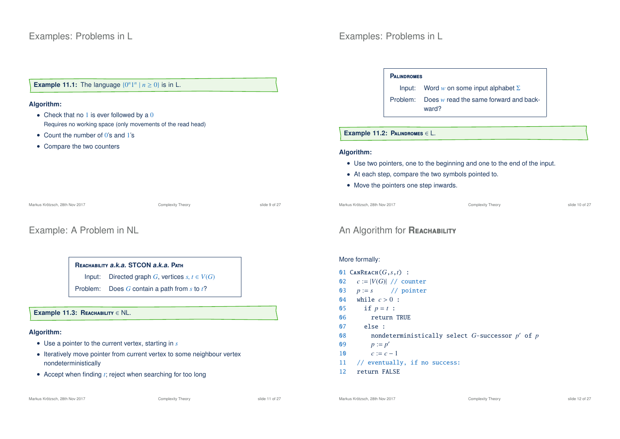### **Example 11.1:** The language  $\{0^n 1^n | n \ge 0\}$  is in L.

#### **Algorithm:**

- Check that no  $1$  is ever followed by a  $0$ Requires no working space (only movements of the read head)
- Count the number of 0's and 1's
- Compare the two counters

Markus Krötzsch, 28th Nov 2017 **Complexity Theory** Complexity Theory slide 9 of 27

## Example: A Problem in NL

### **R**eachability **a.k.a. STCON a.k.a. P**ath

Input: Directed graph *G*, vertices  $s, t \in V(G)$ 

Problem: Does *G* contain a path from *s* to *t*?

#### **Example 11.3: R**eachability ∈ NL.

### **Algorithm:**

- Use a pointer to the current vertex, starting in *s*
- Iteratively move pointer from current vertex to some neighbour vertex nondeterministically
- Accept when finding *t*; reject when searching for too long

# Examples: Problems in L

#### **P**alindromes

Input: Word *w* on some input alphabet Σ Problem: Does *w* read the same forward and backward?

#### **Example 11.2: P**alindromes ∈ L.

#### **Algorithm:**

- Use two pointers, one to the beginning and one to the end of the input.
- At each step, compare the two symbols pointed to.
- Move the pointers one step inwards.

Markus Krötzsch, 28th Nov 2017 Complexity Theory slide 10 of 27

## **An Algorithm for REACHABILITY**

### More formally:

 $\text{CANREACH}(G, s, t)$  :  $c := |V(G)| / / \text{counter}$ <br>03  $p := s / / \text{ pointer}$  *p* := *s* // pointer 04 while  $c > 0$  : 05 if  $p = t$  : return TRUE 07 else : nondeterministically select *G*-successor *p* <sup>0</sup> of *p* 09  $p := p'$  $c := c - 1$  // eventually, if no success: return FALSE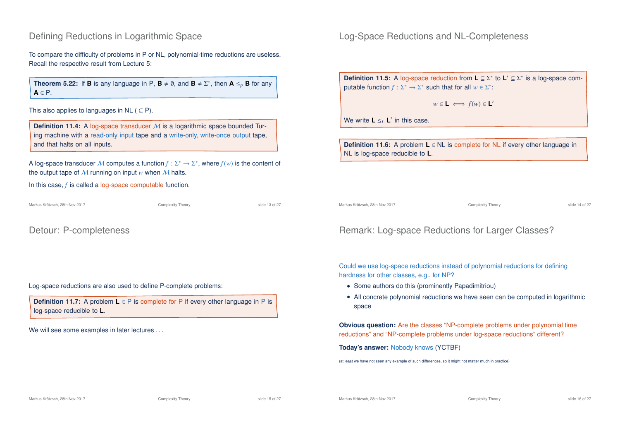## Defining Reductions in Logarithmic Space

To compare the difficulty of problems in P or NL, polynomial-time reductions are useless. Recall the respective result from Lecture 5:

**Theorem 5.22:** If **B** is any language in P,  $\mathbf{B} \neq \emptyset$ , and  $\mathbf{B} \neq \Sigma^*$ , then  $\mathbf{A} \leq_p \mathbf{B}$  for any **A** ∈ P.

This also applies to languages in NL ( $\subseteq$  P).

**Definition 11.4:** A log-space transducer M is a logarithmic space bounded Turing machine with a read-only input tape and a write-only, write-once output tape, and that halts on all inputs.

A log-space transducer  $M$  computes a function  $f: \Sigma^* \to \Sigma^*$ , where  $f(w)$  is the content of the output tape of  $M$  running on input  $w$  when  $M$  halts.

In this case, *f* is called a log-space computable function.

Markus Krötzsch, 28th Nov 2017 Complexity Theory slide 13 of 27

Detour: P-completeness

Log-space reductions are also used to define P-complete problems:

**Definition 11.7:** A problem **L** ∈ P is complete for P if every other language in P is log-space reducible to **L**.

We will see some examples in later lectures ...

Log-Space Reductions and NL-Completeness

**Definition 11.5:** A log-space reduction from **L** ⊆ Σ<sup>\*</sup> to **L**' ⊆ Σ<sup>\*</sup> is a log-space computable function  $f : \Sigma^* \to \Sigma^*$  such that for all  $w \in \Sigma^*$ :

$$
w \in \mathsf{L} \iff f(w) \in \mathsf{L}'
$$

We write  $\mathbf{L} \leq_L \mathbf{L}'$  in this case.

**Definition 11.6:** A problem **L** ∈ NL is complete for NL if every other language in NL is log-space reducible to **L**.

Markus Krötzsch, 28th Nov 2017 Complexity Theory slide 14 of 27

# Remark: Log-space Reductions for Larger Classes?

Could we use log-space reductions instead of polynomial reductions for defining hardness for other classes, e.g., for NP?

- Some authors do this (prominently Papadimitriou)
- All concrete polynomial reductions we have seen can be computed in logarithmic space

**Obvious question:** Are the classes "NP-complete problems under polynomial time reductions" and "NP-complete problems under log-space reductions" different?

**Today's answer:** Nobody knows (YCTBF)

(at least we have not seen any example of such differences, so it might not matter much in practice)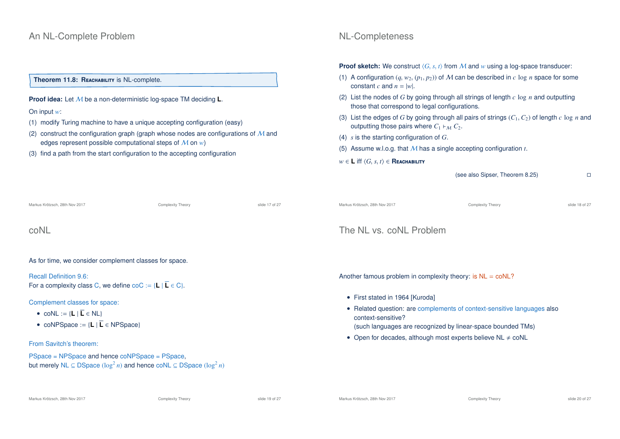### **Theorem 11.8: REACHABILITY is NL-complete.**

**Proof idea:** Let M be a non-deterministic log-space TM deciding **L**.

### On input *w*:

- (1) modify Turing machine to have a unique accepting configuration (easy)
- (2) construct the configuration graph (graph whose nodes are configurations of  $M$  and edges represent possible computational steps of M on *w*)
- (3) find a path from the start configuration to the accepting configuration

# NL-Completeness

**Proof sketch:** We construct  $\langle G, s, t \rangle$  from M and w using a log-space transducer:

- (1) A configuration  $(q, w_2, (p_1, p_2))$  of M can be described in  $c \log n$  space for some constant *c* and  $n = |w|$ .
- (2) List the nodes of *G* by going through all strings of length *c* log *n* and outputting those that correspond to legal configurations.
- (3) List the edges of *G* by going through all pairs of strings (*C*<sup>1</sup>,*C*2) of length *c* log *n* and outputting those pairs where  $C_1 \rightharpoonup_M C_2$ .
- (4) *s* is the starting configuration of *G*.
- (5) Assume w.l.o.g. that M has a single accepting configuration *t*.
- $w$  ∈ **L** iff  $\langle G, s, t \rangle$  ∈ **Reachability**

(see also Sipser, Theorem 8.25)

| Markus Krötzsch, 28th Nov 2017                                                                                                                 | Complexity Theory | slide 17 of 27                                                       | Markus Krötzsch, 28th Nov 2017                                                                                                                                                                                                                                             | Complexity Theory | slide 18 of 27 |  |  |
|------------------------------------------------------------------------------------------------------------------------------------------------|-------------------|----------------------------------------------------------------------|----------------------------------------------------------------------------------------------------------------------------------------------------------------------------------------------------------------------------------------------------------------------------|-------------------|----------------|--|--|
| coNL                                                                                                                                           |                   |                                                                      | The NL vs. coNL Problem                                                                                                                                                                                                                                                    |                   |                |  |  |
| As for time, we consider complement classes for space.                                                                                         |                   |                                                                      |                                                                                                                                                                                                                                                                            |                   |                |  |  |
| <b>Recall Definition 9.6:</b><br>For a complexity class C, we define $\text{coC} := \{ L   \overline{L} \in C \}.$                             |                   | Another famous problem in complexity theory: is $NL = \text{co}NL$ ? |                                                                                                                                                                                                                                                                            |                   |                |  |  |
| Complement classes for space:<br>• $coNL := \{L   \overline{L} \in NL\}$<br>• coNPSpace := ${L   \overline{L} \in \text{NPSpace}}}$            |                   |                                                                      | • First stated in 1964 [Kuroda]<br>• Related question: are complements of context-sensitive languages also<br>context-sensitive?<br>(such languages are recognized by linear-space bounded TMs)<br>• Open for decades, although most experts believe $NL \neq \text{co}NL$ |                   |                |  |  |
| From Savitch's theorem:                                                                                                                        |                   |                                                                      |                                                                                                                                                                                                                                                                            |                   |                |  |  |
| PSpace = NPSpace and hence coNPSpace = PSpace,<br>but merely NL $\subseteq$ DSpace $(\log^2 n)$ and hence coNL $\subseteq$ DSpace $(\log^2 n)$ |                   |                                                                      |                                                                                                                                                                                                                                                                            |                   |                |  |  |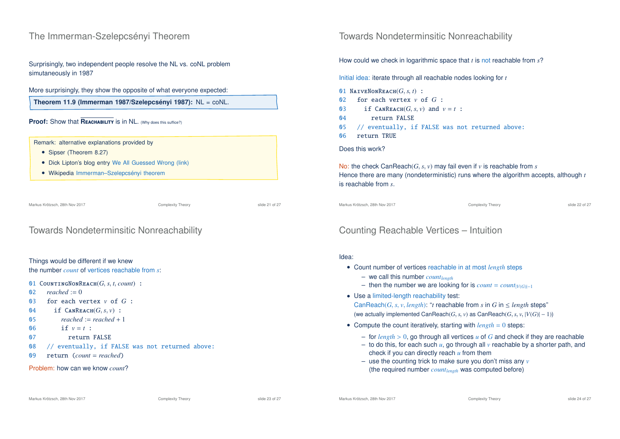## The Immerman-Szelepcsényi Theorem

Surprisingly, two independent people resolve the NL vs. coNL problem simutaneously in 1987

### More surprisingly, they show the opposite of what everyone expected:

**Theorem 11.9 (Immerman 1987/Szelepcsényi 1987):** NL = coNL.

### **Proof:** Show that **REACHABILITY** is in NL. (Why does this suffice?)

#### Remark: alternative explanations provided by

- Sipser (Theorem 8.27)
- Dick Lipton's blog entry We All Guessed Wrong (link)
- Wikipedia Immerman–Szelepcsényi theorem

Markus Krötzsch, 28th Nov 2017 Complexity Theory slide 21 of 27

### Towards Nondeterminsitic Nonreachability

#### Things would be different if we knew

the number *count* of vertices reachable from *s*:

01 COUNTINGNONREACH $(G, s, t, count)$  :<br>02 reached := 0

- $reached := 0$
- 03 for each vertex *v* of *G* :
- 04 if  $\text{CanReach}(G, s, v)$ :<br>05 reached:-reached:
- $reached := reached + 1$
- 06 if  $v = t$  :
- 07 return FALSE
- 08 // eventually, if FALSE was not returned above:
- 09 return (*count* = *reached*)

#### Problem: how can we know *count*?

Towards Nondeterminsitic Nonreachability

How could we check in logarithmic space that *t* is not reachable from *s*?

Initial idea: iterate through all reachable nodes looking for *t*

01 NAIVENONREACH $(G, s, t)$  :<br>02 for each vertex  $v$  of

- for each vertex  $v$  of  $G$  :
- 03 if  $\text{CANREACH}(G, s, v)$  and  $v = t$ :<br>04 return FAISE
- return FALSE
- 05 // eventually, if FALSE was not returned above:
- 06 return TRUE

### Does this work?

No: the check CanReach(*G*, *s*, *v*) may fail even if *v* is reachable from *s* Hence there are many (nondeterministic) runs where the algorithm accepts, although *t* is reachable from *s*.

Markus Krötzsch, 28th Nov 2017 Complexity Theory slide 22 of 27

# Counting Reachable Vertices – Intuition

### Idea:

- Count number of vertices reachable in at most *length* steps
	- we call this number *countlength*
	- then the number we are looking for is  $count = count_{|V(G)|-1}$
- Use a limited-length reachability test: CanReach(*G*, *s*, *v*, *length*): "*t* reachable from *s* in *G* in  $\leq$  *length* steps" (we actually implemented CanReach(*G*, *s*, *v*) as CanReach(*G*, *s*, *v*,  $|V(G)| - 1$ ))
- Compute the count iteratively, starting with *length* = 0 steps:
	- for *length* > 0, go through all vertices *u* of *G* and check if they are reachable
	- to do this, for each such  $u$ , go through all  $v$  reachable by a shorter path, and check if you can directly reach *u* from them
	- use the counting trick to make sure you don't miss any *v* (the required number *countlength* was computed before)